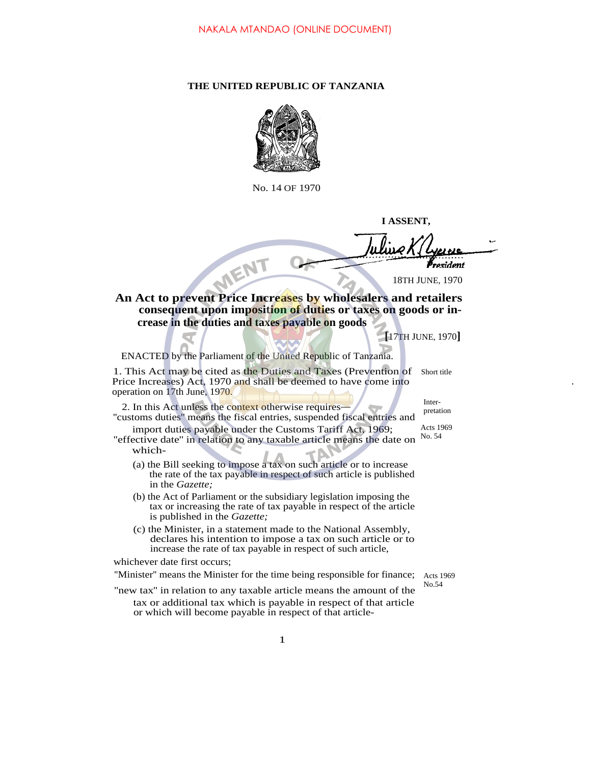## **THE UNITED REPUBLIC OF TANZANIA**



No. 14 OF 1970

**I ASSENT,**

MENT ovidont 18TH JUNE, 1970 **An Act to prevent Price Increases by wholesalers and retailers consequent upon imposition of duties or taxes on goods or increase in the duties and taxes payable on goods [**17TH JUNE, 1970**]** ENACTED by the Parliament of the United Republic of Tanzania.

1. This Act may be cited as the Duties and Taxes (Prevention of Short title Price Increases) Act, 1970 and shall be deemed to have come into operation on 17th June, 1970. Inter-

2. In this Act unless the context otherwise requires ''customs duties'' means the fiscal entries, suspended fiscal entries and

import duties payable under the Customs Tariff Act, 1969; "effective date" in relation to any taxable article means the date on  $\frac{No. 54}{}$ which- Acts 1969

- (a) the Bill seeking to impose a tax on such article or to increase the rate of the tax payable in respect of such article is published in the *Gazette;*
- (b) the Act of Parliament or the subsidiary legislation imposing the tax or increasing the rate of tax payable in respect of the article is published in the *Gazette;*
- (c) the Minister, in a statement made to the National Assembly, declares his intention to impose a tax on such article or to increase the rate of tax payable in respect of such article,

whichever date first occurs;

"Minister" means the Minister for the time being responsible for finance; Acts 1969

No.54

pretation

..

''new tax'' in relation to any taxable article means the amount of the tax or additional tax which is payable in respect of that article or which will become payable in respect of that article-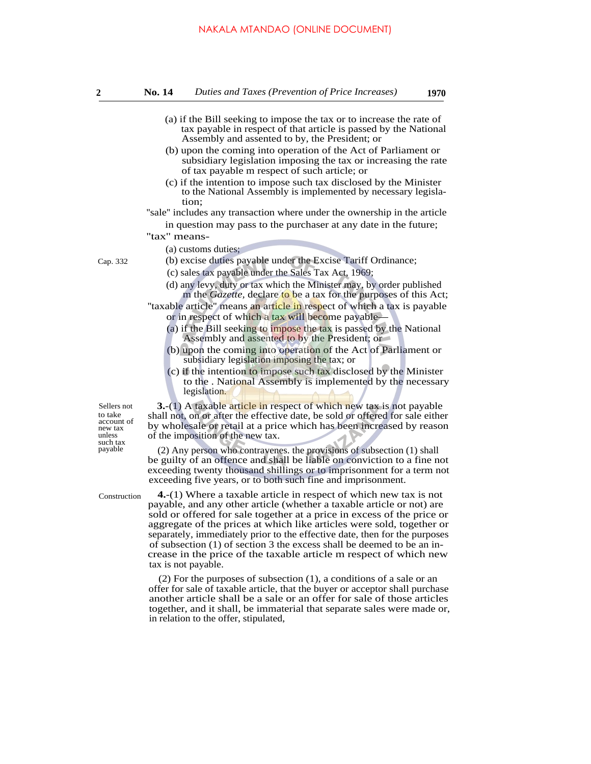## NAKALA MTANDAO (ONLINE DOCUMENT)

- (a) if the Bill seeking to impose the tax or to increase the rate of tax payable in respect of that article is passed by the National
- Assembly and assented to by, the President; or (b) upon the coming into operation of the Act of Parliament or subsidiary legislation imposing the tax or increasing the rate of tax payable m respect of such article; or
- (c) if the intention to impose such tax disclosed by the Minister to the National Assembly is implemented by necessary legislation;

''sale'' includes any transaction where under the ownership in the article in question may pass to the purchaser at any date in the future;

## "tax" means-

(a) customs duties;

- Cap. 332 (b) excise duties payable under the Excise Tariff Ordinance;
	- (c) sales tax payable under the Sales Tax Act, 1969;
	- (d) any levy, duty or tax which the Minister may, by order published m the *Gazette*, declare to be a tax for the purposes of this Act;

"taxable article" means an article in respect of which a tax is payable or in respect of which a tax will become payable

- (a) if the Bill seeking to impose the tax is passed by the National Assembly and assented to by the President; or
- (b) upon the coming into operation of the Act of Parliament or subsidiary legislation imposing the tax; or
- (c) if the intention to impose such tax disclosed by the Minister to the . National Assembly is implemented by the necessary legislation.

**3.**-(1) A taxable article in respect of which new tax is not payable shall not, on or after the effective date, be sold or offered for sale either by wholesale or retail at a price which has been increased by reason of the imposition of the new tax.

 $(2)$  Any person who contravenes. the provisions of subsection  $(1)$  shall be guilty of an offence and shall be liable on conviction to a fine not exceeding twenty thousand shillings or to imprisonment for a term not exceeding five years, or to both such fine and imprisonment.

Construction

Sellers not to take account of new tax unless such tax<br>payable

> **4.**-(1) Where a taxable article in respect of which new tax is not payable, and any other article (whether a taxable article or not) are sold or offered for sale together at a price in excess of the price or aggregate of the prices at which like articles were sold, together or separately, immediately prior to the effective date, then for the purposes of subsection (1) of section 3 the excess shall be deemed to be an increase in the price of the taxable article m respect of which new tax is not payable.

> (2) For the purposes of subsection (1), a conditions of a sale or an offer for sale of taxable article, that the buyer or acceptor shall purchase another article shall be a sale or an offer for sale of those articles together, and it shall, be immaterial that separate sales were made or, in relation to the offer, stipulated,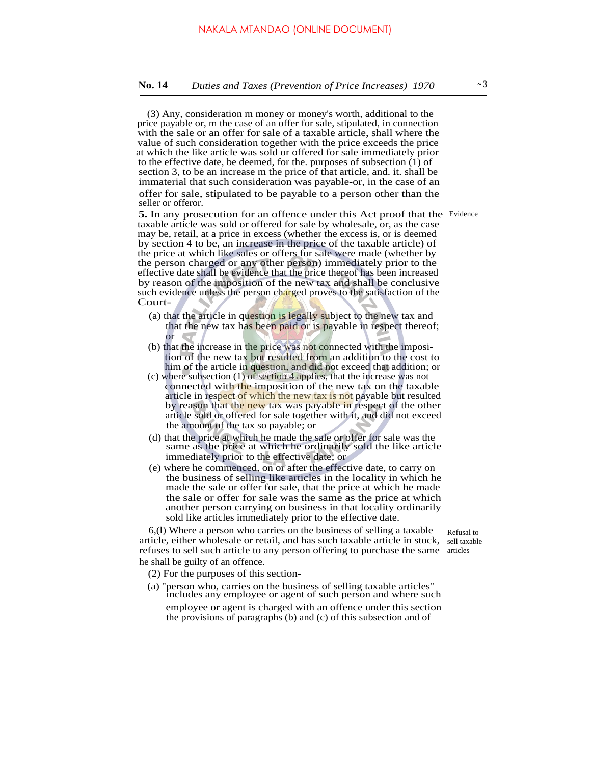(3) Any, consideration m money or money's worth, additional to the price payable or, m the case of an offer for sale, stipulated, in connection with the sale or an offer for sale of a taxable article, shall where the value of such consideration together with the price exceeds the price at which the like article was sold or offered for sale immediately prior to the effective date, be deemed, for the. purposes of subsection (1) of section 3, to be an increase m the price of that article, and. it. shall be immaterial that such consideration was payable-or, in the case of an offer for sale, stipulated to be payable to a person other than the seller or offeror.

5. In any prosecution for an offence under this Act proof that the Evidence taxable article was sold or offered for sale by wholesale, or, as the case may be, retail, at a price in excess (whether the excess is, or is deemed by section 4 to be, an increase in the price of the taxable article) of the price at which like sales or offers for sale were made (whether by the person charged or any other person) immediately prior to the effective date shall be evidence that the price thereof has been increased by reason of the imposition of the new tax and shall be conclusive such evidence unless the person charged proves to the satisfaction of the Court-

- (a) that the article in question is legally subject to the new tax and that the new tax has been paid or is payable in respect thereof; or
- (b) that the increase in the price was not connected with the imposition of the new tax but resulted from an addition to the cost to him of the article in question, and did not exceed that addition; or
- (c) where subsection (1) of section 4 applies, that the increase was not connected with the imposition of the new tax on the taxable article in respect of which the new tax is not payable but resulted by reason that the new tax was payable in respect of the other article sold or offered for sale together with it, and did not exceed the amount of the tax so payable; or
- (d) that the price at which he made the sale or offer for sale was the same as the price at which he ordinarily sold the like article immediately prior to the effective date; or
- (e) where he commenced, on or after the effective date, to carry on the business of selling like articles in the locality in which he made the sale or offer for sale, that the price at which he made the sale or offer for sale was the same as the price at which another person carrying on business in that locality ordinarily sold like articles immediately prior to the effective date.

6,(l) Where a person who carries on the business of selling a taxable article, either wholesale or retail, and has such taxable article in stock, sell taxable refuses to sell such article to any person offering to purchase the same articles he shall be guilty of an offence.

Refusal to

(2) For the purposes of this section-

(a) ''person who, carries on the business of selling taxable articles'' includes any employee or agent of such person and where such employee or agent is charged with an offence under this section the provisions of paragraphs (b) and (c) of this subsection and of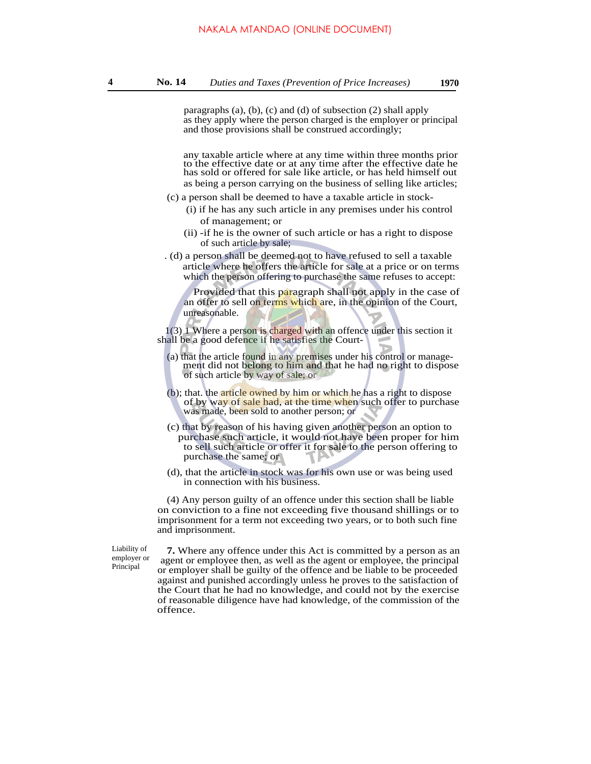paragraphs (a), (b), (c) and (d) of subsection (2) shall apply as they apply where the person charged is the employer or principal and those provisions shall be construed accordingly;

any taxable article where at any time within three months prior to the effective date or at any time after the effective date he has sold or offered for sale like article, or has held himself out as being a person carrying on the business of selling like articles;

- (c) a person shall be deemed to have a taxable article in stock-
	- (i) if he has any such article in any premises under his control of management; or
	- (ii) -if he is the owner of such article or has a right to dispose of such article by sale;
- . (d) a person shall be deemed not to have refused to sell a taxable article where he offers the article for sale at a price or on terms which the person offering to purchase the same refuses to accept:

Provided that this paragraph shall not apply in the case of an offer to sell on terms which are, in the opinion of the Court, unreasonable.

1(3) 1 Where a person is charged with an offence under this section it shall be a good defence if he satisfies the Court-

- (a) that the article found in any premises under his control or management did not belong to him and that he had no right to dispose of such article by way of sale; or
- (b); that. the article owned by him or which he has a right to dispose of by way of sale had, at the time when such offer to purchase was made, been sold to another person; or
- (c) that by reason of his having given another person an option to purchase such article, it would not have been proper for him to sell such article or offer it for sale to the person offering to purchase the same; or
- (d), that the article in stock was for his own use or was being used in connection with his business.

(4) Any person guilty of an offence under this section shall be liable on conviction to a fine not exceeding five thousand shillings or to imprisonment for a term not exceeding two years, or to both such fine and imprisonment.

Liability of employer or Principal

**7.** Where any offence under this Act is committed by a person as an agent or employee then, as well as the agent or employee, the principal or employer shall be guilty of the offence and be liable to be proceeded against and punished accordingly unless he proves to the satisfaction of the Court that he had no knowledge, and could not by the exercise of reasonable diligence have had knowledge, of the commission of the offence.